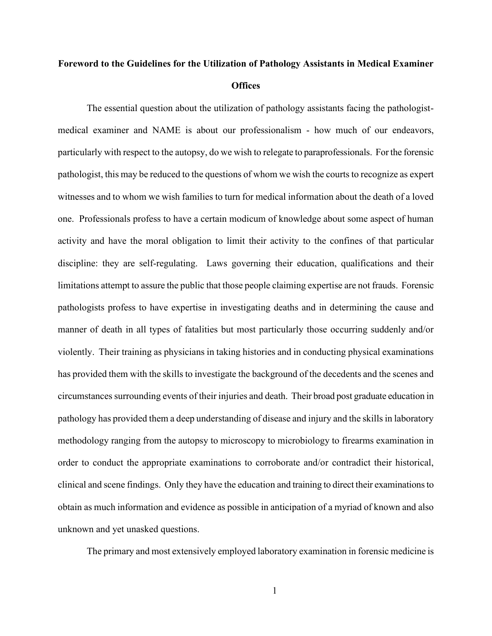## **Foreword to the Guidelines for the Utilization of Pathology Assistants in Medical Examiner Offices**

The essential question about the utilization of pathology assistants facing the pathologistmedical examiner and NAME is about our professionalism - how much of our endeavors, particularly with respect to the autopsy, do we wish to relegate to paraprofessionals. For the forensic pathologist, this may be reduced to the questions of whom we wish the courts to recognize as expert witnesses and to whom we wish families to turn for medical information about the death of a loved one. Professionals profess to have a certain modicum of knowledge about some aspect of human activity and have the moral obligation to limit their activity to the confines of that particular discipline: they are self-regulating. Laws governing their education, qualifications and their limitations attempt to assure the public that those people claiming expertise are not frauds. Forensic pathologists profess to have expertise in investigating deaths and in determining the cause and manner of death in all types of fatalities but most particularly those occurring suddenly and/or violently. Their training as physicians in taking histories and in conducting physical examinations has provided them with the skills to investigate the background of the decedents and the scenes and circumstances surrounding events of their injuries and death. Their broad post graduate education in pathology has provided them a deep understanding of disease and injury and the skills in laboratory methodology ranging from the autopsy to microscopy to microbiology to firearms examination in order to conduct the appropriate examinations to corroborate and/or contradict their historical, clinical and scene findings. Only they have the education and training to direct their examinations to obtain as much information and evidence as possible in anticipation of a myriad of known and also unknown and yet unasked questions.

The primary and most extensively employed laboratory examination in forensic medicine is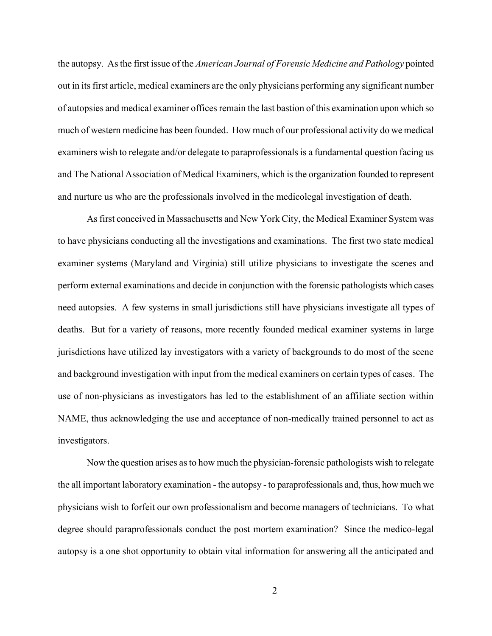the autopsy. As the first issue of the *American Journal of Forensic Medicine and Pathology* pointed out in its first article, medical examiners are the only physicians performing any significant number of autopsies and medical examiner offices remain the last bastion of this examination upon which so much of western medicine has been founded. How much of our professional activity do we medical examiners wish to relegate and/or delegate to paraprofessionals is a fundamental question facing us and The National Association of Medical Examiners, which is the organization founded to represent and nurture us who are the professionals involved in the medicolegal investigation of death.

As first conceived in Massachusetts and New York City, the Medical Examiner System was to have physicians conducting all the investigations and examinations. The first two state medical examiner systems (Maryland and Virginia) still utilize physicians to investigate the scenes and perform external examinations and decide in conjunction with the forensic pathologists which cases need autopsies. A few systems in small jurisdictions still have physicians investigate all types of deaths. But for a variety of reasons, more recently founded medical examiner systems in large jurisdictions have utilized lay investigators with a variety of backgrounds to do most of the scene and background investigation with input from the medical examiners on certain types of cases. The use of non-physicians as investigators has led to the establishment of an affiliate section within NAME, thus acknowledging the use and acceptance of non-medically trained personnel to act as investigators.

Now the question arises as to how much the physician-forensic pathologists wish to relegate the all important laboratory examination - the autopsy - to paraprofessionals and, thus, how much we physicians wish to forfeit our own professionalism and become managers of technicians. To what degree should paraprofessionals conduct the post mortem examination? Since the medico-legal autopsy is a one shot opportunity to obtain vital information for answering all the anticipated and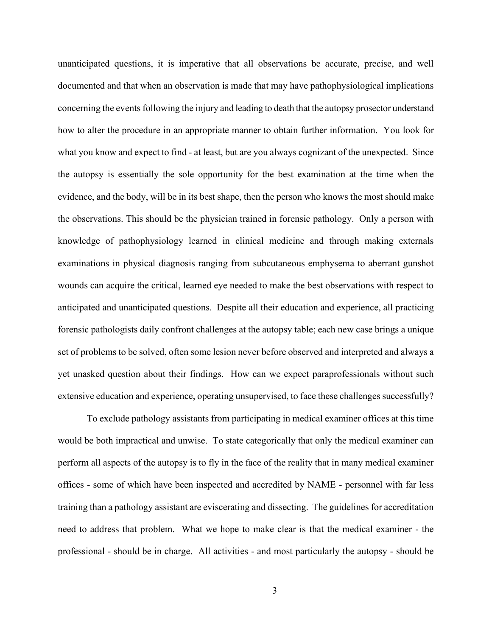unanticipated questions, it is imperative that all observations be accurate, precise, and well documented and that when an observation is made that may have pathophysiological implications concerning the events following the injury and leading to death that the autopsy prosector understand how to alter the procedure in an appropriate manner to obtain further information. You look for what you know and expect to find - at least, but are you always cognizant of the unexpected. Since the autopsy is essentially the sole opportunity for the best examination at the time when the evidence, and the body, will be in its best shape, then the person who knows the most should make the observations. This should be the physician trained in forensic pathology. Only a person with knowledge of pathophysiology learned in clinical medicine and through making externals examinations in physical diagnosis ranging from subcutaneous emphysema to aberrant gunshot wounds can acquire the critical, learned eye needed to make the best observations with respect to anticipated and unanticipated questions. Despite all their education and experience, all practicing forensic pathologists daily confront challenges at the autopsy table; each new case brings a unique set of problems to be solved, often some lesion never before observed and interpreted and always a yet unasked question about their findings. How can we expect paraprofessionals without such extensive education and experience, operating unsupervised, to face these challenges successfully?

To exclude pathology assistants from participating in medical examiner offices at this time would be both impractical and unwise. To state categorically that only the medical examiner can perform all aspects of the autopsy is to fly in the face of the reality that in many medical examiner offices - some of which have been inspected and accredited by NAME - personnel with far less training than a pathology assistant are eviscerating and dissecting. The guidelines for accreditation need to address that problem. What we hope to make clear is that the medical examiner - the professional - should be in charge. All activities - and most particularly the autopsy - should be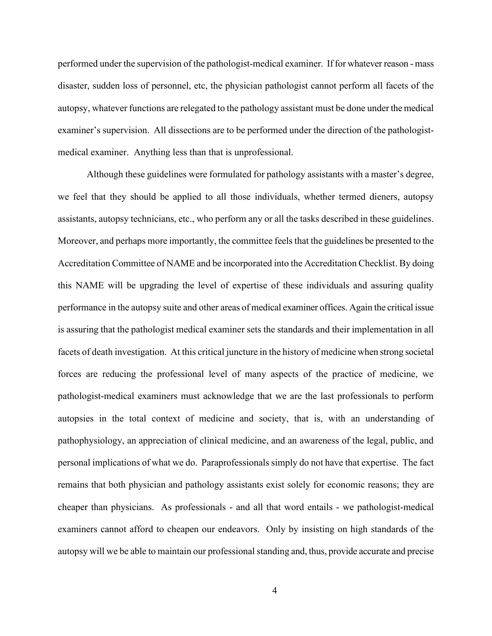performed under the supervision of the pathologist-medical examiner. If for whatever reason - mass disaster, sudden loss of personnel, etc, the physician pathologist cannot perform all facets of the autopsy, whatever functions are relegated to the pathology assistant must be done under the medical examiner's supervision. All dissections are to be performed under the direction of the pathologistmedical examiner. Anything less than that is unprofessional.

Although these guidelines were formulated for pathology assistants with a master's degree, we feel that they should be applied to all those individuals, whether termed dieners, autopsy assistants, autopsy technicians, etc., who perform any or all the tasks described in these guidelines. Moreover, and perhaps more importantly, the committee feels that the guidelines be presented to the Accreditation Committee of NAME and be incorporated into the Accreditation Checklist. By doing this NAME will be upgrading the level of expertise of these individuals and assuring quality performance in the autopsy suite and other areas of medical examiner offices. Again the critical issue is assuring that the pathologist medical examiner sets the standards and their implementation in all facets of death investigation. At this critical juncture in the history of medicine when strong societal forces are reducing the professional level of many aspects of the practice of medicine, we pathologist-medical examiners must acknowledge that we are the last professionals to perform autopsies in the total context of medicine and society, that is, with an understanding of pathophysiology, an appreciation of clinical medicine, and an awareness of the legal, public, and personal implications of what we do. Paraprofessionals simply do not have that expertise. The fact remains that both physician and pathology assistants exist solely for economic reasons; they are cheaper than physicians. As professionals - and all that word entails - we pathologist-medical examiners cannot afford to cheapen our endeavors. Only by insisting on high standards of the autopsy will we be able to maintain our professional standing and, thus, provide accurate and precise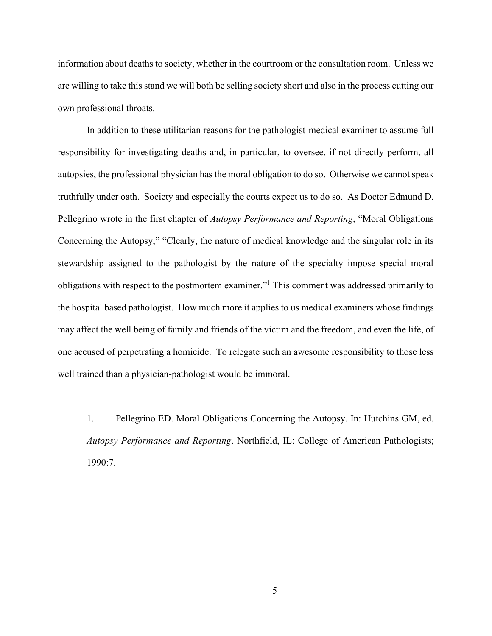information about deaths to society, whether in the courtroom or the consultation room. Unless we are willing to take this stand we will both be selling society short and also in the process cutting our own professional throats.

In addition to these utilitarian reasons for the pathologist-medical examiner to assume full responsibility for investigating deaths and, in particular, to oversee, if not directly perform, all autopsies, the professional physician has the moral obligation to do so. Otherwise we cannot speak truthfully under oath. Society and especially the courts expect us to do so. As Doctor Edmund D. Pellegrino wrote in the first chapter of *Autopsy Performance and Reporting*, "Moral Obligations Concerning the Autopsy," "Clearly, the nature of medical knowledge and the singular role in its stewardship assigned to the pathologist by the nature of the specialty impose special moral obligations with respect to the postmortem examiner."<sup>1</sup> This comment was addressed primarily to the hospital based pathologist. How much more it applies to us medical examiners whose findings may affect the well being of family and friends of the victim and the freedom, and even the life, of one accused of perpetrating a homicide. To relegate such an awesome responsibility to those less well trained than a physician-pathologist would be immoral.

1. Pellegrino ED. Moral Obligations Concerning the Autopsy. In: Hutchins GM, ed. *Autopsy Performance and Reporting*. Northfield, IL: College of American Pathologists; 1990:7.

5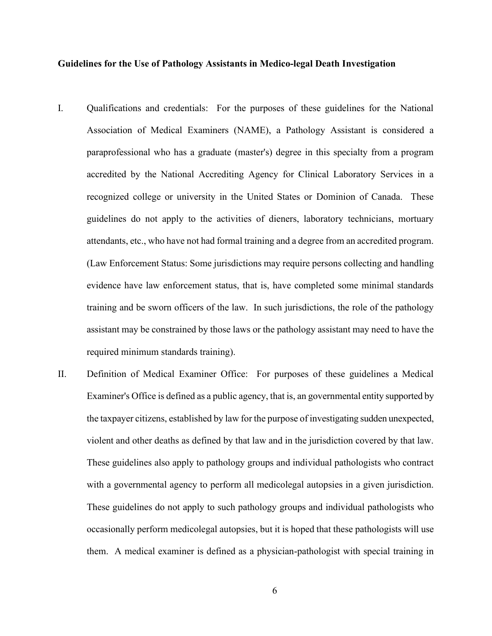## **Guidelines for the Use of Pathology Assistants in Medico-legal Death Investigation**

- I. Qualifications and credentials: For the purposes of these guidelines for the National Association of Medical Examiners (NAME), a Pathology Assistant is considered a paraprofessional who has a graduate (master's) degree in this specialty from a program accredited by the National Accrediting Agency for Clinical Laboratory Services in a recognized college or university in the United States or Dominion of Canada. These guidelines do not apply to the activities of dieners, laboratory technicians, mortuary attendants, etc., who have not had formal training and a degree from an accredited program. (Law Enforcement Status: Some jurisdictions may require persons collecting and handling evidence have law enforcement status, that is, have completed some minimal standards training and be sworn officers of the law. In such jurisdictions, the role of the pathology assistant may be constrained by those laws or the pathology assistant may need to have the required minimum standards training).
- II. Definition of Medical Examiner Office: For purposes of these guidelines a Medical Examiner's Office is defined as a public agency, that is, an governmental entity supported by the taxpayer citizens, established by law for the purpose of investigating sudden unexpected, violent and other deaths as defined by that law and in the jurisdiction covered by that law. These guidelines also apply to pathology groups and individual pathologists who contract with a governmental agency to perform all medicolegal autopsies in a given jurisdiction. These guidelines do not apply to such pathology groups and individual pathologists who occasionally perform medicolegal autopsies, but it is hoped that these pathologists will use them. A medical examiner is defined as a physician-pathologist with special training in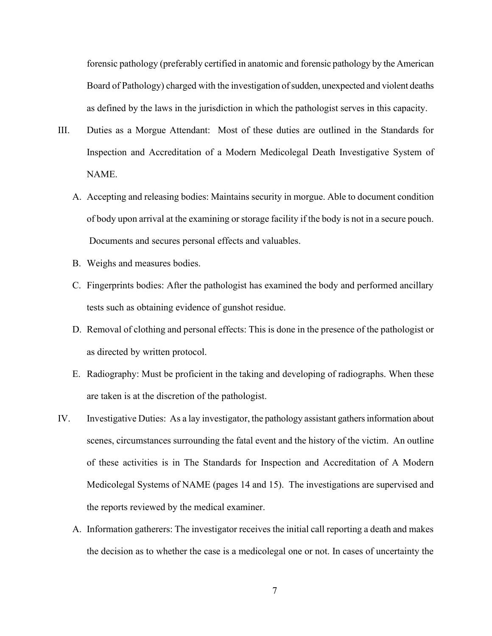forensic pathology (preferably certified in anatomic and forensic pathology by the American Board of Pathology) charged with the investigation of sudden, unexpected and violent deaths as defined by the laws in the jurisdiction in which the pathologist serves in this capacity.

- III. Duties as a Morgue Attendant: Most of these duties are outlined in the Standards for Inspection and Accreditation of a Modern Medicolegal Death Investigative System of NAME.
	- A. Accepting and releasing bodies: Maintains security in morgue. Able to document condition of body upon arrival at the examining or storage facility if the body is not in a secure pouch. Documents and secures personal effects and valuables.
	- B. Weighs and measures bodies.
	- C. Fingerprints bodies: After the pathologist has examined the body and performed ancillary tests such as obtaining evidence of gunshot residue.
	- D. Removal of clothing and personal effects: This is done in the presence of the pathologist or as directed by written protocol.
	- E. Radiography: Must be proficient in the taking and developing of radiographs. When these are taken is at the discretion of the pathologist.
- IV. Investigative Duties: As a lay investigator, the pathology assistant gathers information about scenes, circumstances surrounding the fatal event and the history of the victim. An outline of these activities is in The Standards for Inspection and Accreditation of A Modern Medicolegal Systems of NAME (pages 14 and 15). The investigations are supervised and the reports reviewed by the medical examiner.
	- A. Information gatherers: The investigator receives the initial call reporting a death and makes the decision as to whether the case is a medicolegal one or not. In cases of uncertainty the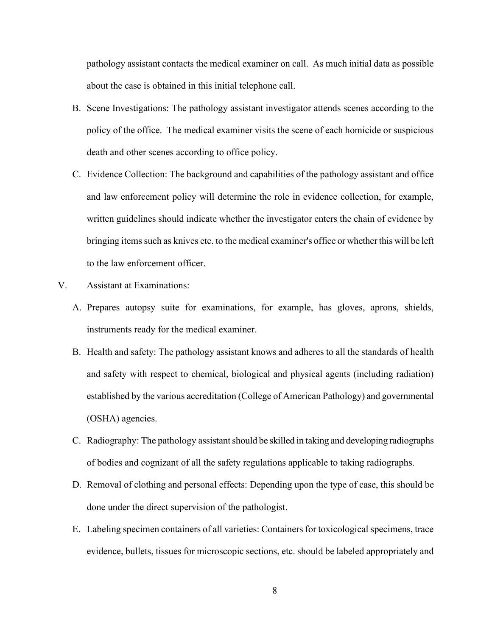pathology assistant contacts the medical examiner on call. As much initial data as possible about the case is obtained in this initial telephone call.

- B. Scene Investigations: The pathology assistant investigator attends scenes according to the policy of the office. The medical examiner visits the scene of each homicide or suspicious death and other scenes according to office policy.
- C. Evidence Collection: The background and capabilities of the pathology assistant and office and law enforcement policy will determine the role in evidence collection, for example, written guidelines should indicate whether the investigator enters the chain of evidence by bringing items such as knives etc. to the medical examiner's office or whether this will be left to the law enforcement officer.
- V. Assistant at Examinations:
	- A. Prepares autopsy suite for examinations, for example, has gloves, aprons, shields, instruments ready for the medical examiner.
	- B. Health and safety: The pathology assistant knows and adheres to all the standards of health and safety with respect to chemical, biological and physical agents (including radiation) established by the various accreditation (College of American Pathology) and governmental (OSHA) agencies.
	- C. Radiography: The pathology assistant should be skilled in taking and developing radiographs of bodies and cognizant of all the safety regulations applicable to taking radiographs.
	- D. Removal of clothing and personal effects: Depending upon the type of case, this should be done under the direct supervision of the pathologist.
	- E. Labeling specimen containers of all varieties: Containers for toxicological specimens, trace evidence, bullets, tissues for microscopic sections, etc. should be labeled appropriately and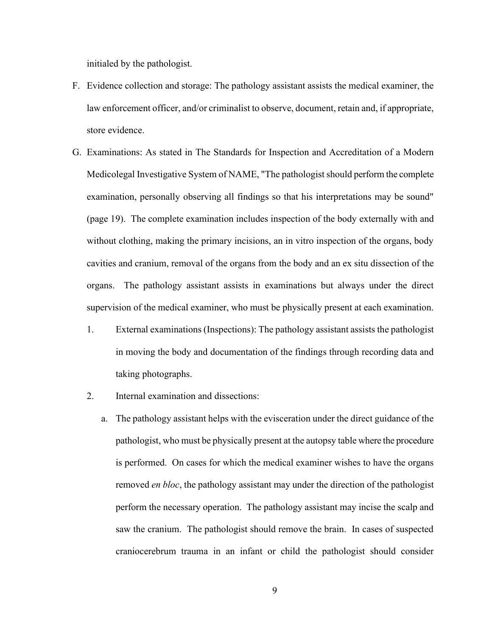initialed by the pathologist.

- F. Evidence collection and storage: The pathology assistant assists the medical examiner, the law enforcement officer, and/or criminalist to observe, document, retain and, if appropriate, store evidence.
- G. Examinations: As stated in The Standards for Inspection and Accreditation of a Modern Medicolegal Investigative System of NAME, "The pathologist should perform the complete examination, personally observing all findings so that his interpretations may be sound" (page 19). The complete examination includes inspection of the body externally with and without clothing, making the primary incisions, an in vitro inspection of the organs, body cavities and cranium, removal of the organs from the body and an ex situ dissection of the organs. The pathology assistant assists in examinations but always under the direct supervision of the medical examiner, who must be physically present at each examination.
	- 1. External examinations (Inspections): The pathology assistant assists the pathologist in moving the body and documentation of the findings through recording data and taking photographs.
	- 2. Internal examination and dissections:
		- a. The pathology assistant helps with the evisceration under the direct guidance of the pathologist, who must be physically present at the autopsy table where the procedure is performed. On cases for which the medical examiner wishes to have the organs removed *en bloc*, the pathology assistant may under the direction of the pathologist perform the necessary operation. The pathology assistant may incise the scalp and saw the cranium. The pathologist should remove the brain. In cases of suspected craniocerebrum trauma in an infant or child the pathologist should consider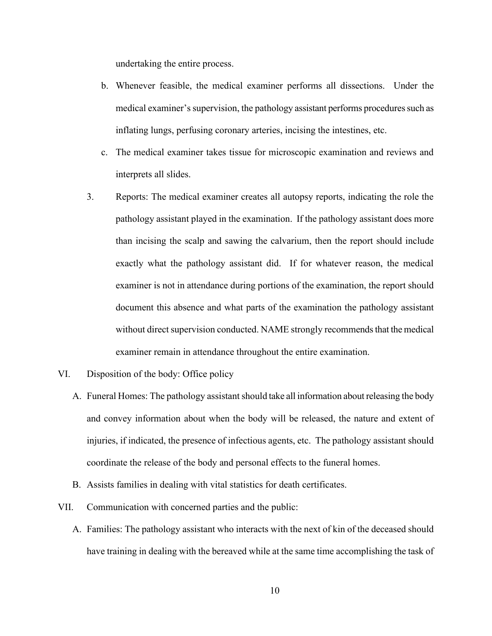undertaking the entire process.

- b. Whenever feasible, the medical examiner performs all dissections. Under the medical examiner's supervision, the pathology assistant performs procedures such as inflating lungs, perfusing coronary arteries, incising the intestines, etc.
- c. The medical examiner takes tissue for microscopic examination and reviews and interprets all slides.
- 3. Reports: The medical examiner creates all autopsy reports, indicating the role the pathology assistant played in the examination. If the pathology assistant does more than incising the scalp and sawing the calvarium, then the report should include exactly what the pathology assistant did. If for whatever reason, the medical examiner is not in attendance during portions of the examination, the report should document this absence and what parts of the examination the pathology assistant without direct supervision conducted. NAME strongly recommends that the medical examiner remain in attendance throughout the entire examination.
- VI. Disposition of the body: Office policy
	- A. Funeral Homes: The pathology assistant should take all information about releasing the body and convey information about when the body will be released, the nature and extent of injuries, if indicated, the presence of infectious agents, etc. The pathology assistant should coordinate the release of the body and personal effects to the funeral homes.
	- B. Assists families in dealing with vital statistics for death certificates.
- VII. Communication with concerned parties and the public:
	- A. Families: The pathology assistant who interacts with the next of kin of the deceased should have training in dealing with the bereaved while at the same time accomplishing the task of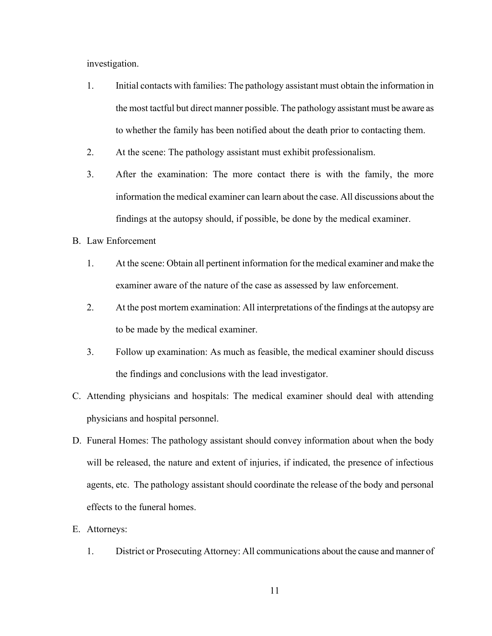investigation.

- 1. Initial contacts with families: The pathology assistant must obtain the information in the most tactful but direct manner possible. The pathology assistant must be aware as to whether the family has been notified about the death prior to contacting them.
- 2. At the scene: The pathology assistant must exhibit professionalism.
- 3. After the examination: The more contact there is with the family, the more information the medical examiner can learn about the case. All discussions about the findings at the autopsy should, if possible, be done by the medical examiner.
- B. Law Enforcement
	- 1. At the scene: Obtain all pertinent information for the medical examiner and make the examiner aware of the nature of the case as assessed by law enforcement.
	- 2. At the post mortem examination: All interpretations of the findings at the autopsy are to be made by the medical examiner.
	- 3. Follow up examination: As much as feasible, the medical examiner should discuss the findings and conclusions with the lead investigator.
- C. Attending physicians and hospitals: The medical examiner should deal with attending physicians and hospital personnel.
- D. Funeral Homes: The pathology assistant should convey information about when the body will be released, the nature and extent of injuries, if indicated, the presence of infectious agents, etc. The pathology assistant should coordinate the release of the body and personal effects to the funeral homes.
- E. Attorneys:
	- 1. District or Prosecuting Attorney: All communications about the cause and manner of